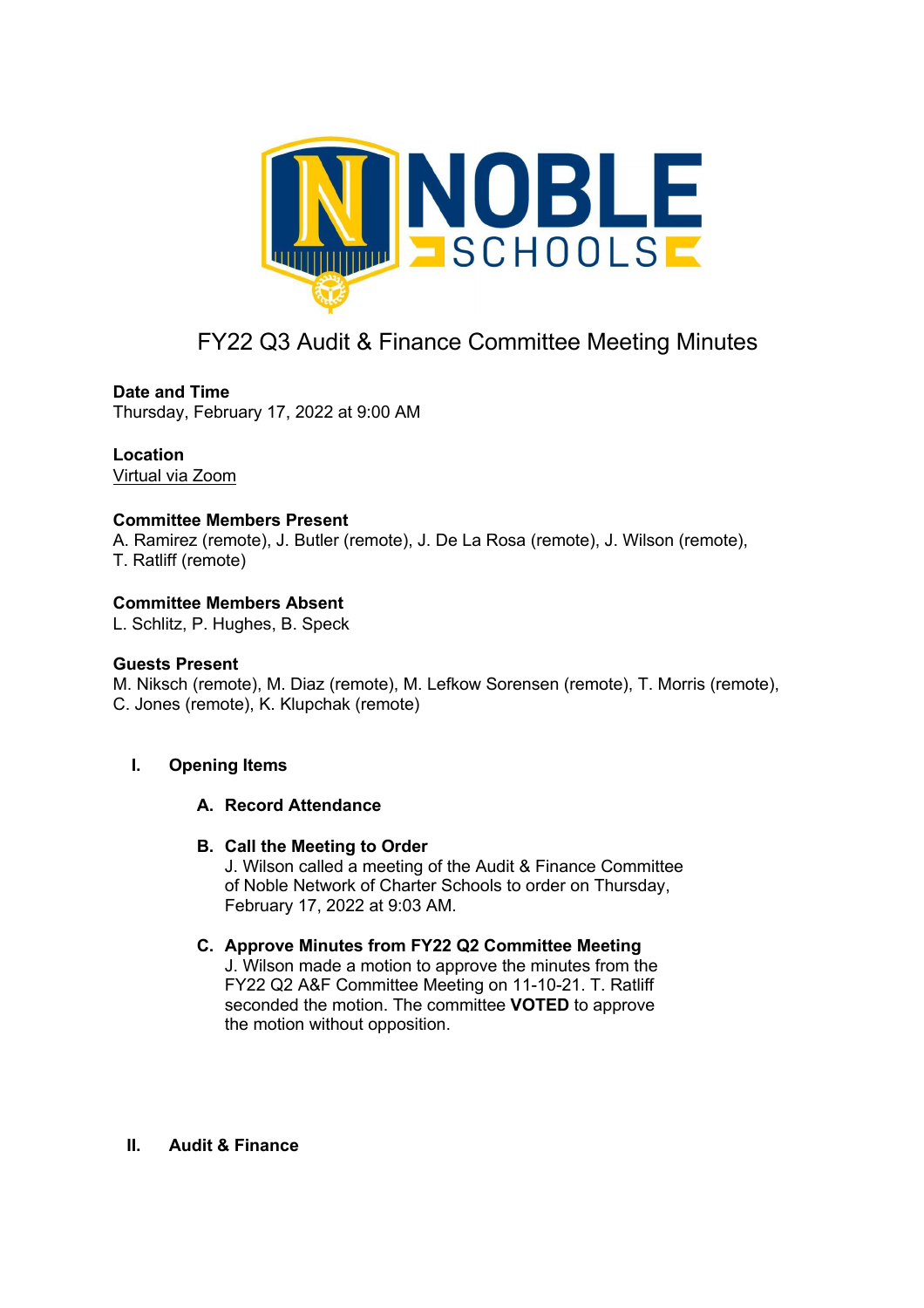

# FY22 Q3 Audit & Finance Committee Meeting Minutes

# **Date and Time**

Thursday, February 17, 2022 at 9:00 AM

# **Location**

Virtual via Zoom

# **Committee Members Present**

A. Ramirez (remote), J. Butler (remote), J. De La Rosa (remote), J. Wilson (remote), T. Ratliff (remote)

# **Committee Members Absent**

L. Schlitz, P. Hughes, B. Speck

#### **Guests Present**

M. Niksch (remote), M. Diaz (remote), M. Lefkow Sorensen (remote), T. Morris (remote), C. Jones (remote), K. Klupchak (remote)

#### **I. Opening Items**

#### **A. Record Attendance**

#### **B. Call the Meeting to Order**

J. Wilson called a meeting of the Audit & Finance Committee of Noble Network of Charter Schools to order on Thursday, February 17, 2022 at 9:03 AM.

#### **C. Approve Minutes from FY22 Q2 Committee Meeting**

J. Wilson made a motion to approve the minutes from the FY22 Q2 A&F Committee Meeting on 11-10-21. T. Ratliff seconded the motion. The committee **VOTED** to approve the motion without opposition.

#### **II. Audit & Finance**